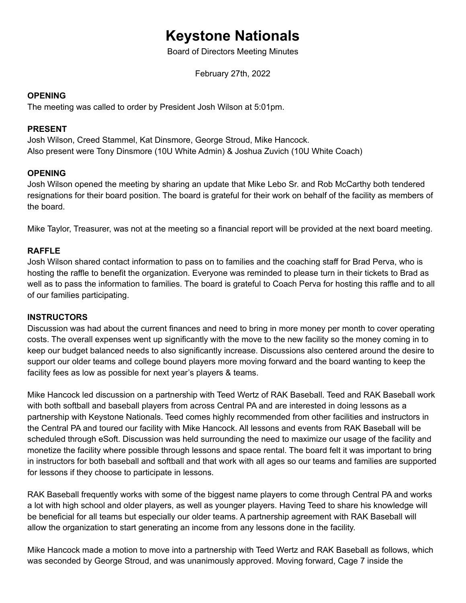# **Keystone Nationals**

Board of Directors Meeting Minutes

February 27th, 2022

#### **OPENING**

The meeting was called to order by President Josh Wilson at 5:01pm.

#### **PRESENT**

Josh Wilson, Creed Stammel, Kat Dinsmore, George Stroud, Mike Hancock. Also present were Tony Dinsmore (10U White Admin) & Joshua Zuvich (10U White Coach)

## **OPENING**

Josh Wilson opened the meeting by sharing an update that Mike Lebo Sr. and Rob McCarthy both tendered resignations for their board position. The board is grateful for their work on behalf of the facility as members of the board.

Mike Taylor, Treasurer, was not at the meeting so a financial report will be provided at the next board meeting.

#### **RAFFLE**

Josh Wilson shared contact information to pass on to families and the coaching staff for Brad Perva, who is hosting the raffle to benefit the organization. Everyone was reminded to please turn in their tickets to Brad as well as to pass the information to families. The board is grateful to Coach Perva for hosting this raffle and to all of our families participating.

#### **INSTRUCTORS**

Discussion was had about the current finances and need to bring in more money per month to cover operating costs. The overall expenses went up significantly with the move to the new facility so the money coming in to keep our budget balanced needs to also significantly increase. Discussions also centered around the desire to support our older teams and college bound players more moving forward and the board wanting to keep the facility fees as low as possible for next year's players & teams.

Mike Hancock led discussion on a partnership with Teed Wertz of RAK Baseball. Teed and RAK Baseball work with both softball and baseball players from across Central PA and are interested in doing lessons as a partnership with Keystone Nationals. Teed comes highly recommended from other facilities and instructors in the Central PA and toured our facility with Mike Hancock. All lessons and events from RAK Baseball will be scheduled through eSoft. Discussion was held surrounding the need to maximize our usage of the facility and monetize the facility where possible through lessons and space rental. The board felt it was important to bring in instructors for both baseball and softball and that work with all ages so our teams and families are supported for lessons if they choose to participate in lessons.

RAK Baseball frequently works with some of the biggest name players to come through Central PA and works a lot with high school and older players, as well as younger players. Having Teed to share his knowledge will be beneficial for all teams but especially our older teams. A partnership agreement with RAK Baseball will allow the organization to start generating an income from any lessons done in the facility.

Mike Hancock made a motion to move into a partnership with Teed Wertz and RAK Baseball as follows, which was seconded by George Stroud, and was unanimously approved. Moving forward, Cage 7 inside the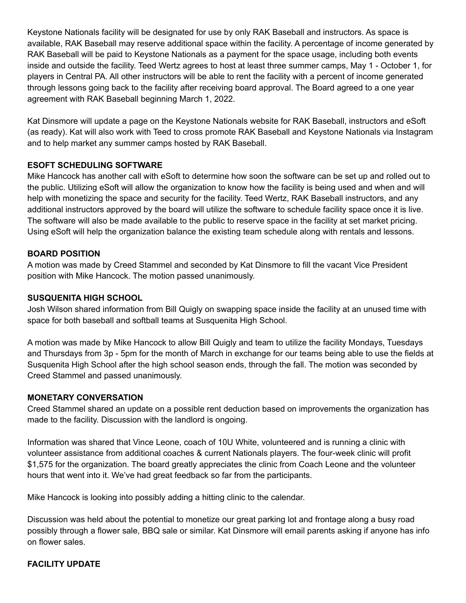Keystone Nationals facility will be designated for use by only RAK Baseball and instructors. As space is available, RAK Baseball may reserve additional space within the facility. A percentage of income generated by RAK Baseball will be paid to Keystone Nationals as a payment for the space usage, including both events inside and outside the facility. Teed Wertz agrees to host at least three summer camps, May 1 - October 1, for players in Central PA. All other instructors will be able to rent the facility with a percent of income generated through lessons going back to the facility after receiving board approval. The Board agreed to a one year agreement with RAK Baseball beginning March 1, 2022.

Kat Dinsmore will update a page on the Keystone Nationals website for RAK Baseball, instructors and eSoft (as ready). Kat will also work with Teed to cross promote RAK Baseball and Keystone Nationals via Instagram and to help market any summer camps hosted by RAK Baseball.

## **ESOFT SCHEDULING SOFTWARE**

Mike Hancock has another call with eSoft to determine how soon the software can be set up and rolled out to the public. Utilizing eSoft will allow the organization to know how the facility is being used and when and will help with monetizing the space and security for the facility. Teed Wertz, RAK Baseball instructors, and any additional instructors approved by the board will utilize the software to schedule facility space once it is live. The software will also be made available to the public to reserve space in the facility at set market pricing. Using eSoft will help the organization balance the existing team schedule along with rentals and lessons.

## **BOARD POSITION**

A motion was made by Creed Stammel and seconded by Kat Dinsmore to fill the vacant Vice President position with Mike Hancock. The motion passed unanimously.

## **SUSQUENITA HIGH SCHOOL**

Josh Wilson shared information from Bill Quigly on swapping space inside the facility at an unused time with space for both baseball and softball teams at Susquenita High School.

A motion was made by Mike Hancock to allow Bill Quigly and team to utilize the facility Mondays, Tuesdays and Thursdays from 3p - 5pm for the month of March in exchange for our teams being able to use the fields at Susquenita High School after the high school season ends, through the fall. The motion was seconded by Creed Stammel and passed unanimously.

## **MONETARY CONVERSATION**

Creed Stammel shared an update on a possible rent deduction based on improvements the organization has made to the facility. Discussion with the landlord is ongoing.

Information was shared that Vince Leone, coach of 10U White, volunteered and is running a clinic with volunteer assistance from additional coaches & current Nationals players. The four-week clinic will profit \$1,575 for the organization. The board greatly appreciates the clinic from Coach Leone and the volunteer hours that went into it. We've had great feedback so far from the participants.

Mike Hancock is looking into possibly adding a hitting clinic to the calendar.

Discussion was held about the potential to monetize our great parking lot and frontage along a busy road possibly through a flower sale, BBQ sale or similar. Kat Dinsmore will email parents asking if anyone has info on flower sales.

# **FACILITY UPDATE**